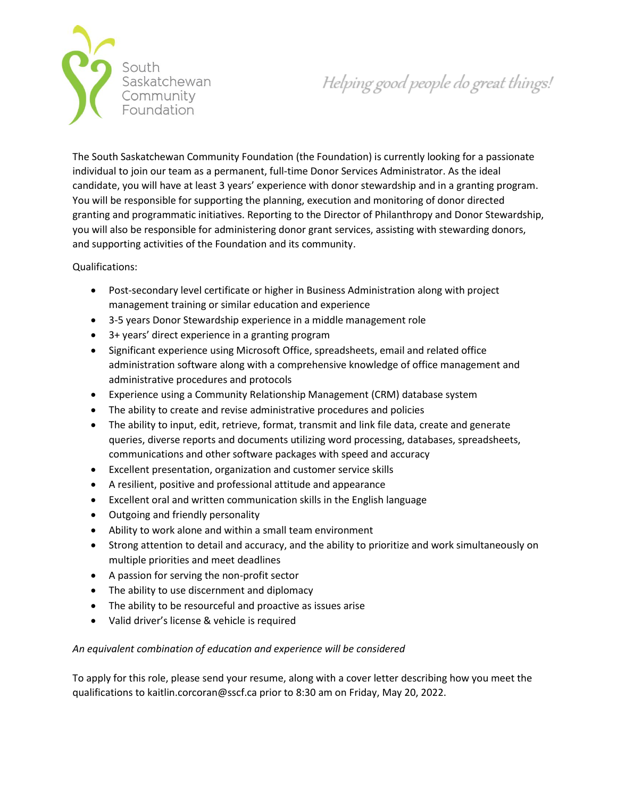

Helping good people do great things!

The South Saskatchewan Community Foundation (the Foundation) is currently looking for a passionate individual to join our team as a permanent, full-time Donor Services Administrator. As the ideal candidate, you will have at least 3 years' experience with donor stewardship and in a granting program. You will be responsible for supporting the planning, execution and monitoring of donor directed granting and programmatic initiatives. Reporting to the Director of Philanthropy and Donor Stewardship, you will also be responsible for administering donor grant services, assisting with stewarding donors, and supporting activities of the Foundation and its community.

Qualifications:

- Post-secondary level certificate or higher in Business Administration along with project management training or similar education and experience
- 3-5 years Donor Stewardship experience in a middle management role
- 3+ years' direct experience in a granting program
- Significant experience using Microsoft Office, spreadsheets, email and related office administration software along with a comprehensive knowledge of office management and administrative procedures and protocols
- Experience using a Community Relationship Management (CRM) database system
- The ability to create and revise administrative procedures and policies
- The ability to input, edit, retrieve, format, transmit and link file data, create and generate queries, diverse reports and documents utilizing word processing, databases, spreadsheets, communications and other software packages with speed and accuracy
- Excellent presentation, organization and customer service skills
- A resilient, positive and professional attitude and appearance
- Excellent oral and written communication skills in the English language
- Outgoing and friendly personality
- Ability to work alone and within a small team environment
- Strong attention to detail and accuracy, and the ability to prioritize and work simultaneously on multiple priorities and meet deadlines
- A passion for serving the non-profit sector
- The ability to use discernment and diplomacy
- The ability to be resourceful and proactive as issues arise
- Valid driver's license & vehicle is required

## *An equivalent combination of education and experience will be considered*

To apply for this role, please send your resume, along with a cover letter describing how you meet the qualifications to kaitlin.corcoran@sscf.ca prior to 8:30 am on Friday, May 20, 2022.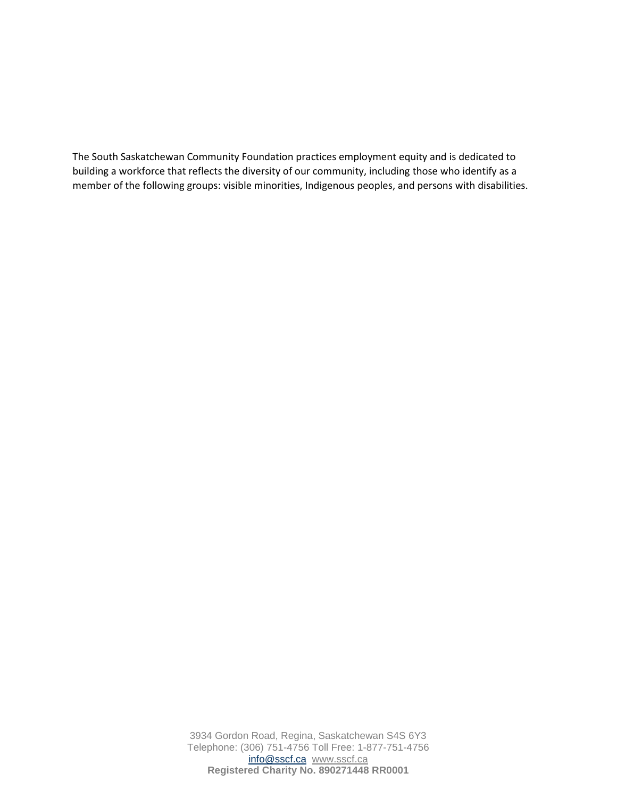The South Saskatchewan Community Foundation practices employment equity and is dedicated to building a workforce that reflects the diversity of our community, including those who identify as a member of the following groups: visible minorities, Indigenous peoples, and persons with disabilities.

> 3934 Gordon Road, Regina, Saskatchewan S4S 6Y3 Telephone: (306) 751-4756 Toll Free: 1-877-751-4756 [info@sscf.ca](mailto:info@sscf.ca) [www.sscf.ca](http://www.sscf.ca/) **Registered Charity No. 890271448 RR0001**